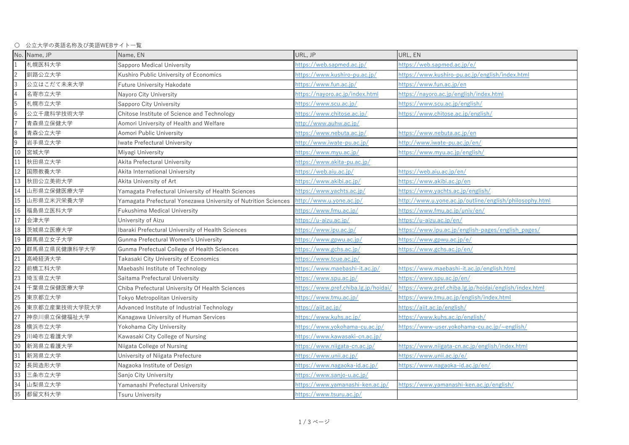〇 公立大学の英語名称及び英語WEBサイト一覧

|                 | No. Name, JP  | Name, EN                                                       | URL, JP                              | URL, EN                                                 |
|-----------------|---------------|----------------------------------------------------------------|--------------------------------------|---------------------------------------------------------|
|                 | 札幌医科大学        | Sapporo Medical University                                     | https://web.sapmed.ac.jp/            | https://web.sapmed.ac.jp/e/                             |
| $\overline{c}$  | 釧路公立大学        | Kushiro Public University of Economics                         | https://www.kushiro-pu.ac.jp/        | https://www.kushiro-pu.ac.jp/english/index.html         |
| ပ               | 公立はこだて未来大学    | Future University Hakodate                                     | https://www.fun.ac.jp/               | https://www.fun.ac.jp/en                                |
| $\overline{4}$  | 名寄市立大学        | Nayoro City University                                         | https://nayoro.ac.jp/index.html      | https://nayoro.ac.jp/english/index.html                 |
| $5\overline{)}$ | 札幌市立大学        | Sapporo City University                                        | https://www.scu.ac.jp/               | https://www.scu.ac.jp/english/                          |
| $6\overline{6}$ | 公立千歳科学技術大学    | Chitose Institute of Science and Technology                    | https://www.chitose.ac.jp/           | https://www.chitose.ac.jp/english/                      |
| $\overline{7}$  | 青森県立保健大学      | Aomori University of Health and Welfare                        | http://www.auhw.ac.jp/               |                                                         |
| $\,8\,$         | 青森公立大学        | Aomori Public University                                       | https://www.nebuta.ac.jp/            | https://www.nebuta.ac.jp/en                             |
| $\overline{9}$  | 岩手県立大学        | Iwate Prefectural University                                   | http://www.iwate-pu.ac.jp/           | http://www.iwate-pu.ac.jp/en/                           |
| 10              | 宮城大学          | Miyagi University                                              | https://www.myu.ac.jp/               | https://www.myu.ac.jp/english/                          |
| 11              | 秋田県立大学        | Akita Prefectural University                                   | https://www.akita-pu.ac.jp/          |                                                         |
| 12              | 国際教養大学        | Akita International University                                 | <u> https://web.aiu.ac.jp/</u>       | <u> https://web.aiu.ac.jp/en/</u>                       |
| 13              | 秋田公立美術大学      | Akita University of Art                                        | https://www.akibi.ac.jp/             | https://www.akibi.ac.jp/en                              |
| 14              | 山形県立保健医療大学    | Yamagata Prefectural University of Health Sciences             | https://www.yachts.ac.jp/            | https://www.yachts.ac.jp/english/                       |
| 15              | 山形県立米沢栄養大学    | Yamagata Prefectural Yonezawa University of Nutrition Sciences | http://www.u.yone.ac.jp/             | http://www.u.yone.ac.jp/outline/english/philosophy.html |
| 16              | 福島県立医科大学      | Fukushima Medical University                                   | https://www.fmu.ac.jp/               | https://www.fmu.ac.jp/univ/en/                          |
| 17              | 会津大学          | University of Aizu                                             | https://u-aizu.ac.jp/                | https://u-aizu.ac.jp/en/                                |
| 18              | 茨城県立医療大学      | Ibaraki Prefectural University of Health Sciences              | https://www.ipu.ac.jp/               | https://www.ipu.ac.jp/english-pages/english_pages/      |
| 19              | 群馬県立女子大学      | Gunma Prefectural Women's University                           | https://www.gpwu.ac.jp/              | https://www.gpwu.ac.jp/e/                               |
| 20              | 群馬県立県民健康科学大学  | Gunma Prefectual College of Health Sciences                    | https://www.gchs.ac.jp/              | https://www.gchs.ac.jp/en/                              |
| 21              | 高崎経済大学        | Takasaki City University of Economics                          | https://www.tcue.ac.jp/              |                                                         |
| 22              | 前橋工科大学        | Maebashi Institute of Technology                               | https://www.maebashi-it.ac.jp/       | <u>https://www.maebashi-it.ac.jp/english.html</u>       |
| 23              | 埼玉県立大学        | Saitama Prefectural University                                 | https://www.spu.ac.jp/               | https://www.spu.ac.jp/en/                               |
| 24              | 千葉県立保健医療大学    | Chiba Prefectural University Of Health Sciences                | https://www.pref.chiba.lg.jp/hoidai/ | https://www.pref.chiba.lg.jp/hoidai/english/index.html  |
| 25              | 東京都立大学        | <b>Tokyo Metropolitan University</b>                           | https://www.tmu.ac.jp/               | https://www.tmu.ac.jp/english/index.html                |
| 26              | 東京都立産業技術大学院大学 | Advanced Institute of Industrial Technology                    | https://aiit.ac.jp/                  | https://aiit.ac.jp/english/                             |
| 27              | 神奈川県立保健福祉大学   | Kanagawa University of Human Services                          | https://www.kuhs.ac.jp/              | https://www.kuhs.ac.jp/english/                         |
| 28              | 横浜市立大学        | Yokohama City University                                       | https://www.yokohama-cu.ac.jp/       | https://www-user.yokohama-cu.ac.jp/~english/            |
| 29              | 川崎市立看護大学      | Kawasaki City College of Nursing                               | https://www.kawasaki-cn.ac.jp/       |                                                         |
| 30              | 新潟県立看護大学      | Niigata College of Nursing                                     | https://www.niigata-cn.ac.jp/        | https://www.niigata-cn.ac.jp/english/index.html         |
| 31              | 新潟県立大学        | University of Niigata Prefecture                               | https://www.unii.ac.jp/              | https://www.unii.ac.jp/e/                               |
| 32              | 長岡造形大学        | Nagaoka Institute of Design                                    | https://www.nagaoka-id.ac.jp/        | https://www.nagaoka-id.ac.jp/en/                        |
| 33              | 三条市立大学        | Sanjo City University                                          | https://www.sanjo-u.ac.jp/           |                                                         |
| 34              | 山梨県立大学        | Yamanashi Prefectural University                               | https://www.yamanashi-ken.ac.jp/     | https://www.yamanashi-ken.ac.jp/english/                |
| 35              | 都留文科大学        | Tsuru University                                               | https://www.tsuru.ac.jp/             |                                                         |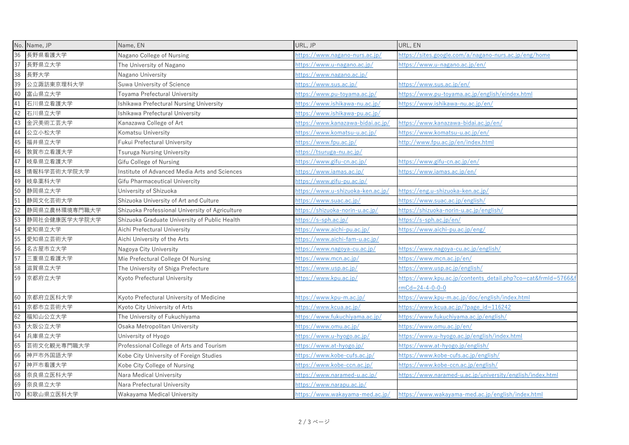|    | No. Name, JP  | Name, EN                                        | URL, JP                           | URL, EN                                                      |
|----|---------------|-------------------------------------------------|-----------------------------------|--------------------------------------------------------------|
| 36 | 長野県看護大学       | Nagano College of Nursing                       | https://www.nagano-nurs.ac.jp/    | https://sites.google.com/a/nagano-nurs.ac.jp/eng/home        |
| 37 | 長野県立大学        | The University of Nagano                        | https://www.u-nagano.ac.jp/       | https://www.u-nagano.ac.jp/en/                               |
| 38 | 長野大学          | Nagano University                               | https://www.nagano.ac.jp/         |                                                              |
| 39 | 公立諏訪東京理科大学    | Suwa University of Science                      | https://www.sus.ac.jp/            | https://www.sus.ac.jp/en/                                    |
| 40 | 富山県立大学        | Toyama Prefectural University                   | https://www.pu-toyama.ac.jp/      | https://www.pu-toyama.ac.jp/english/eindex.html              |
| 41 | 石川県立看護大学      | Ishikawa Prefectural Nursing University         | https://www.ishikawa-nu.ac.jp/    | https://www.ishikawa-nu.ac.jp/en/                            |
| 42 | 石川県立大学        | Ishikawa Prefectural University                 | https://www.ishikawa-pu.ac.jp/    |                                                              |
| 43 | 金沢美術工芸大学      | Kanazawa College of Art                         | https://www.kanazawa-bidai.ac.jp/ | https://www.kanazawa-bidai.ac.jp/en/                         |
| 44 | 公立小松大学        | Komatsu University                              | https://www.komatsu-u.ac.jp/      | https://www.komatsu-u.ac.jp/en/                              |
| 45 | 福井県立大学        | Fukui Prefectural University                    | https://www.fpu.ac.jp/            | http://www.fpu.ac.jp/en/index.html                           |
| 46 | 敦賀市立看護大学      | Tsuruga Nursing University                      | https://tsuruga-nu.ac.jp/         |                                                              |
| 47 | 岐阜県立看護大学      | Gifu College of Nursing                         | https://www.gifu-cn.ac.jp/        | https://www.gifu-cn.ac.jp/en/                                |
| 48 | 情報科学芸術大学院大学   | Institute of Advanced Media Arts and Sciences   | https://www.iamas.ac.jp/          | https://www.iamas.ac.jp/en/                                  |
| 49 | 岐阜薬科大学        | Gifu Pharmaceutical Univercity                  | https://www.gifu-pu.ac.jp/        |                                                              |
| 50 | 静岡県立大学        | University of Shizuoka                          | https://www.u-shizuoka-ken.ac.jp/ | https://eng.u-shizuoka-ken.ac.jp/                            |
| 51 | 静岡文化芸術大学      | Shizuoka University of Art and Culture          | https://www.suac.ac.jp/           | https://www.suac.ac.jp/english/                              |
| 52 | 静岡県立農林環境専門職大学 | Shizuoka Professional University of Agriculture | https://shizuoka-norin-u.ac.jp/   | https://shizuoka-norin-u.ac.jp/english/                      |
| 53 | 静岡社会健康医学大学院大学 | Shizuoka Graduate University of Public Health   | https://s-sph.ac.jp/              | https://s-sph.ac.jp/en/                                      |
| 54 | 愛知県立大学        | Aichi Prefectural University                    | https://www.aichi-pu.ac.jp/       | https://www.aichi-pu.ac.jp/eng/                              |
| 55 | 愛知県立芸術大学      | Aichi University of the Arts                    | https://www.aichi-fam-u.ac.jp/    |                                                              |
| 56 | 名古屋市立大学       | Nagoya City University                          | https://www.nagoya-cu.ac.jp/      | https://www.nagoya-cu.ac.jp/english/                         |
| 57 | 三重県立看護大学      | Mie Prefectural College Of Nursing              | https://www.mcn.ac.jp/            | https://www.mcn.ac.jp/en/                                    |
| 58 | 滋賀県立大学        | The University of Shiga Prefecture              | https://www.usp.ac.jp/            | https://www.usp.ac.jp/english/                               |
| 59 | 京都府立大学        | Kyoto Prefectural University                    | https://www.kpu.ac.jp/            | https://www.kpu.ac.jp/contents_detail.php?co=cat&frmId=5766& |
|    |               |                                                 |                                   | $rmCd = 24 - 4 - 0 - 0 - 0$                                  |
| 60 | 京都府立医科大学      | Kyoto Prefectural University of Medicine        | https://www.kpu-m.ac.jp/          | https://www.kpu-m.ac.jp/doc/english/index.html               |
| 61 | 京都市立芸術大学      | Kyoto City University of Arts                   | https://www.kcua.ac.jp/           | https://www.kcua.ac.jp/?page_id=116242                       |
| 62 | 福知山公立大学       | The University of Fukuchiyama                   | https://www.fukuchiyama.ac.jp/    | https://www.fukuchiyama.ac.jp/english/                       |
| 63 | 大阪公立大学        | Osaka Metropolitan University                   | https://www.omu.ac.jp/            | https://www.omu.ac.jp/en/                                    |
| 64 | 兵庫県立大学        | University of Hyogo                             | https://www.u-hyogo.ac.jp/        | https://www.u-hyogo.ac.jp/english/index.html                 |
| 65 | 芸術文化観光専門職大学   | Professional College of Arts and Tourism        | https://www.at-hyogo.jp/          | https://www.at-hyogo.jp/english/                             |
| 66 | 神戸市外国語大学      | Kobe City University of Foreign Studies         | https://www.kobe-cufs.ac.jp/      | https://www.kobe-cufs.ac.jp/english/                         |
| 67 | 神戸市看護大学       | Kobe City College of Nursing                    | https://www.kobe-ccn.ac.jp/       | https://www.kobe-ccn.ac.jp/english/                          |
| 68 | 奈良県立医科大学      | Nara Medical University                         | https://www.naramed-u.ac.jp/      | https://www.naramed-u.ac.jp/university/english/index.html    |
| 69 | 奈良県立大学        | Nara Prefectural University                     | https://www.narapu.ac.jp/         |                                                              |
| 70 | 和歌山県立医科大学     | Wakayama Medical University                     | https://www.wakayama-med.ac.jp/   | https://www.wakayama-med.ac.jp/english/index.html            |